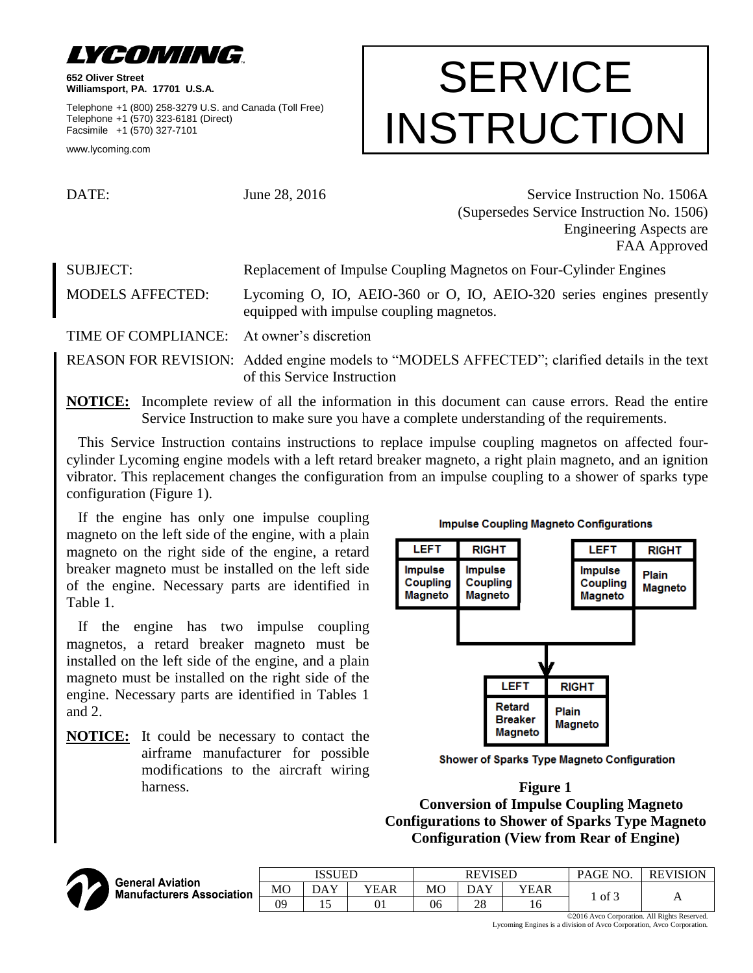

**652 Oliver Street Williamsport, PA. 17701 U.S.A.**

Telephone +1 (800) 258-3279 U.S. and Canada (Toll Free) Telephone +1 (570) 323-6181 (Direct) Facsimile +1 (570) 327-7101

www.lycoming.com

# **SERVICE** INSTRUCTION

DATE: June 28, 2016 Service Instruction No. 1506A (Supersedes Service Instruction No. 1506) Engineering Aspects are FAA Approved

SUBJECT: Replacement of Impulse Coupling Magnetos on Four-Cylinder Engines MODELS AFFECTED: Lycoming O, IO, AEIO-360 or O, IO, AEIO-320 series engines presently equipped with impulse coupling magnetos.

TIME OF COMPLIANCE: At owner's discretion

REASON FOR REVISION: Added engine models to "MODELS AFFECTED"; clarified details in the text of this Service Instruction

**NOTICE:** Incomplete review of all the information in this document can cause errors. Read the entire Service Instruction to make sure you have a complete understanding of the requirements.

This Service Instruction contains instructions to replace impulse coupling magnetos on affected fourcylinder Lycoming engine models with a left retard breaker magneto, a right plain magneto, and an ignition vibrator. This replacement changes the configuration from an impulse coupling to a shower of sparks type configuration (Figure 1).

If the engine has only one impulse coupling magneto on the left side of the engine, with a plain magneto on the right side of the engine, a retard breaker magneto must be installed on the left side of the engine. Necessary parts are identified in Table 1.

If the engine has two impulse coupling magnetos, a retard breaker magneto must be installed on the left side of the engine, and a plain magneto must be installed on the right side of the engine. Necessary parts are identified in Tables 1 and 2.

**NOTICE:** It could be necessary to contact the airframe manufacturer for possible modifications to the aircraft wiring harness. **Figure 1** 



Shower of Sparks Type Magneto Configuration

**Conversion of Impulse Coupling Magneto Configurations to Shower of Sparks Type Magneto Configuration (View from Rear of Engine)**



ISSUED REVISED | PAGE NO. | REVISION **General Aviation** MO DAY YEAR MO DAY YEAR <sup>1</sup> of 3 <sup>A</sup> **Manufacturers Association** 09 | 15 | 01 | 06 | 28 | 16

> ©2016 Avco Corporation. All Rights Reserved. Lycoming Engines is a division of Avco Corporation, Avco Corporation.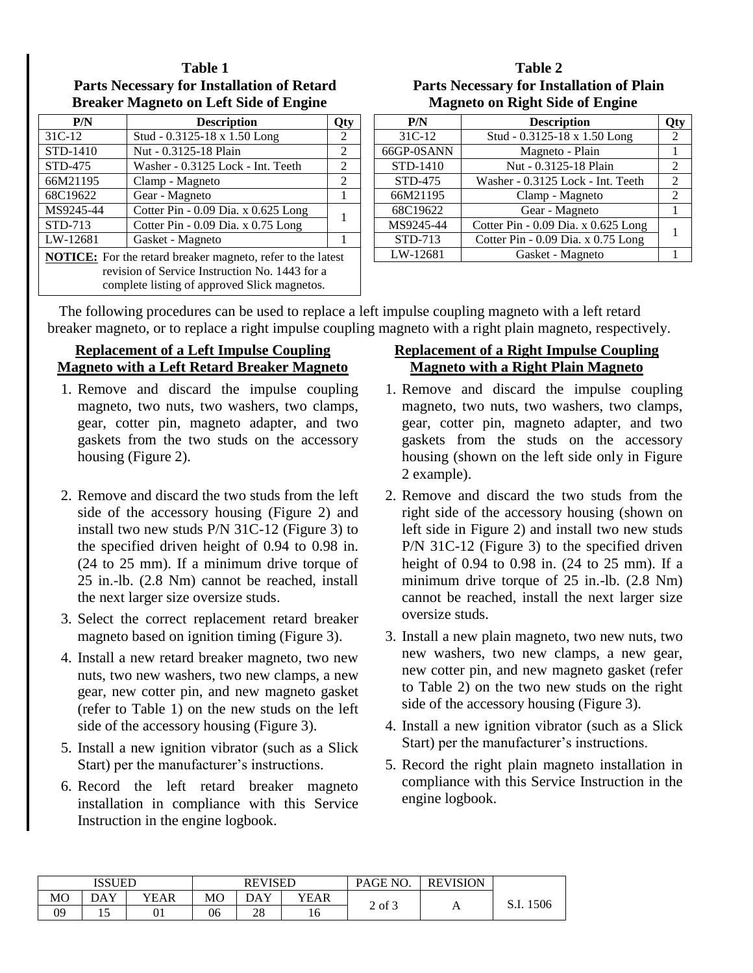#### **Table 1 Parts Necessary for Installation of Retard Breaker Magneto on Left Side of Engine**

| P/N                                                                | <b>Description</b>                  |   |  |  |  |
|--------------------------------------------------------------------|-------------------------------------|---|--|--|--|
| 31C-12                                                             | Stud - 0.3125-18 x 1.50 Long        |   |  |  |  |
| STD-1410                                                           | Nut - 0.3125-18 Plain               |   |  |  |  |
| STD-475                                                            | Washer - 0.3125 Lock - Int. Teeth   | 2 |  |  |  |
| 66M21195                                                           | Clamp - Magneto                     | 2 |  |  |  |
| 68C19622                                                           | Gear - Magneto                      | 1 |  |  |  |
| MS9245-44                                                          | Cotter Pin - 0.09 Dia. x 0.625 Long |   |  |  |  |
| STD-713                                                            | Cotter Pin - 0.09 Dia. x 0.75 Long  |   |  |  |  |
| LW-12681                                                           | Gasket - Magneto                    |   |  |  |  |
| <b>NOTICE:</b> For the retard breaker magneto, refer to the latest |                                     |   |  |  |  |
| revision of Service Instruction No. 1443 for a                     |                                     |   |  |  |  |
| complete listing of approved Slick magnetos.                       |                                     |   |  |  |  |

### **Table 2 Parts Necessary for Installation of Plain Magneto on Right Side of Engine**

| P/N        | <b>Description</b>                       |   |  |  |  |
|------------|------------------------------------------|---|--|--|--|
| 31C-12     | Stud - 0.3125-18 x 1.50 Long             | 2 |  |  |  |
| 66GP-0SANN | Magneto - Plain<br>Nut - 0.3125-18 Plain |   |  |  |  |
| STD-1410   |                                          |   |  |  |  |
| STD-475    | Washer - 0.3125 Lock - Int. Teeth        |   |  |  |  |
| 66M21195   | Clamp - Magneto<br>Gear - Magneto        |   |  |  |  |
| 68C19622   |                                          |   |  |  |  |
| MS9245-44  | Cotter Pin - 0.09 Dia. x 0.625 Long      |   |  |  |  |
| STD-713    | Cotter Pin - 0.09 Dia. x 0.75 Long       |   |  |  |  |
| LW-12681   | Gasket - Magneto                         |   |  |  |  |

The following procedures can be used to replace a left impulse coupling magneto with a left retard breaker magneto, or to replace a right impulse coupling magneto with a right plain magneto, respectively.

## **Replacement of a Left Impulse Coupling Magneto with a Left Retard Breaker Magneto**

- 1. Remove and discard the impulse coupling magneto, two nuts, two washers, two clamps, gear, cotter pin, magneto adapter, and two gaskets from the two studs on the accessory housing (Figure 2).
- 2. Remove and discard the two studs from the left side of the accessory housing (Figure 2) and install two new studs P/N 31C-12 (Figure 3) to the specified driven height of 0.94 to 0.98 in. (24 to 25 mm). If a minimum drive torque of 25 in.-lb. (2.8 Nm) cannot be reached, install the next larger size oversize studs.
- 3. Select the correct replacement retard breaker magneto based on ignition timing (Figure 3).
- 4. Install a new retard breaker magneto, two new nuts, two new washers, two new clamps, a new gear, new cotter pin, and new magneto gasket (refer to Table 1) on the new studs on the left side of the accessory housing (Figure 3).
- 5. Install a new ignition vibrator (such as a Slick Start) per the manufacturer's instructions.
- 6. Record the left retard breaker magneto installation in compliance with this Service Instruction in the engine logbook.

## **Replacement of a Right Impulse Coupling Magneto with a Right Plain Magneto**

- 1. Remove and discard the impulse coupling magneto, two nuts, two washers, two clamps, gear, cotter pin, magneto adapter, and two gaskets from the studs on the accessory housing (shown on the left side only in Figure 2 example).
- 2. Remove and discard the two studs from the right side of the accessory housing (shown on left side in Figure 2) and install two new studs P/N 31C-12 (Figure 3) to the specified driven height of 0.94 to 0.98 in. (24 to 25 mm). If a minimum drive torque of 25 in.-lb. (2.8 Nm) cannot be reached, install the next larger size oversize studs.
- 3. Install a new plain magneto, two new nuts, two new washers, two new clamps, a new gear, new cotter pin, and new magneto gasket (refer to Table 2) on the two new studs on the right side of the accessory housing (Figure 3).
- 4. Install a new ignition vibrator (such as a Slick Start) per the manufacturer's instructions.
- 5. Record the right plain magneto installation in compliance with this Service Instruction in the engine logbook.

| <b>ISSUED</b>  |         |      | <b>REVISED</b> |     |      | N <sub>O</sub><br><b>PAGE</b> | <b>REVISION</b> |      |
|----------------|---------|------|----------------|-----|------|-------------------------------|-----------------|------|
| M <sub>O</sub> | DAY     | YEAR | МO             | DAY | YEAR |                               |                 | 1506 |
| 09             | . L . J | UΙ   | 06             | 28  | ∽    | 2 of 3                        | A               | 0.1. |